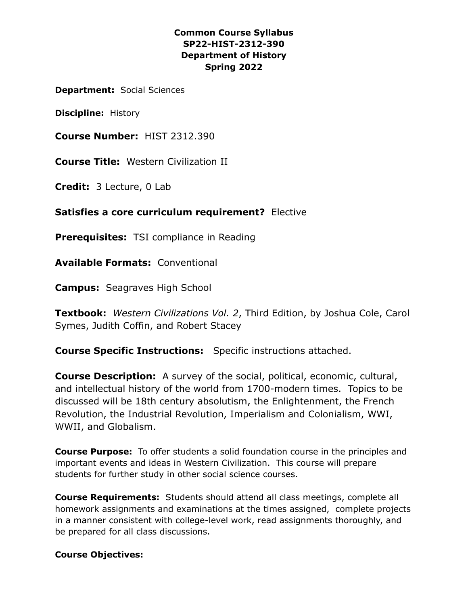## **Common Course Syllabus SP22-HIST-2312-390 Department of History Spring 2022**

**Department:** Social Sciences

**Discipline:** History

**Course Number:** HIST 2312.390

**Course Title:** Western Civilization II

**Credit:** 3 Lecture, 0 Lab

**Satisfies a core curriculum requirement?** Elective

**Prerequisites:** TSI compliance in Reading

**Available Formats:** Conventional

**Campus:** Seagraves High School

**Textbook:** *Western Civilizations Vol. 2*, Third Edition, by Joshua Cole, Carol Symes, Judith Coffin, and Robert Stacey

**Course Specific Instructions:** Specific instructions attached.

**Course Description:** A survey of the social, political, economic, cultural, and intellectual history of the world from 1700-modern times. Topics to be discussed will be 18th century absolutism, the Enlightenment, the French Revolution, the Industrial Revolution, Imperialism and Colonialism, WWI, WWII, and Globalism.

**Course Purpose:** To offer students a solid foundation course in the principles and important events and ideas in Western Civilization. This course will prepare students for further study in other social science courses.

**Course Requirements:** Students should attend all class meetings, complete all homework assignments and examinations at the times assigned, complete projects in a manner consistent with college-level work, read assignments thoroughly, and be prepared for all class discussions.

### **Course Objectives:**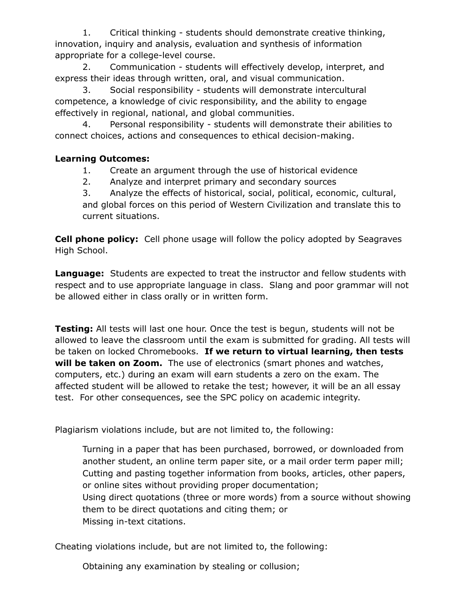1. Critical thinking - students should demonstrate creative thinking, innovation, inquiry and analysis, evaluation and synthesis of information appropriate for a college-level course.

2. Communication - students will effectively develop, interpret, and express their ideas through written, oral, and visual communication.

3. Social responsibility - students will demonstrate intercultural competence, a knowledge of civic responsibility, and the ability to engage effectively in regional, national, and global communities.

4. Personal responsibility - students will demonstrate their abilities to connect choices, actions and consequences to ethical decision-making.

# **Learning Outcomes:**

- 1. Create an argument through the use of historical evidence
- 2. Analyze and interpret primary and secondary sources

3. Analyze the effects of historical, social, political, economic, cultural, and global forces on this period of Western Civilization and translate this to current situations.

**Cell phone policy:** Cell phone usage will follow the policy adopted by Seagraves High School.

**Language:** Students are expected to treat the instructor and fellow students with respect and to use appropriate language in class. Slang and poor grammar will not be allowed either in class orally or in written form.

**Testing:** All tests will last one hour. Once the test is begun, students will not be allowed to leave the classroom until the exam is submitted for grading. All tests will be taken on locked Chromebooks. **If we return to virtual learning, then tests will be taken on Zoom.** The use of electronics (smart phones and watches, computers, etc.) during an exam will earn students a zero on the exam. The affected student will be allowed to retake the test; however, it will be an all essay test. For other consequences, see the SPC policy on academic integrity.

Plagiarism violations include, but are not limited to, the following:

Turning in a paper that has been purchased, borrowed, or downloaded from another student, an online term paper site, or a mail order term paper mill; Cutting and pasting together information from books, articles, other papers, or online sites without providing proper documentation; Using direct quotations (three or more words) from a source without showing them to be direct quotations and citing them; or Missing in-text citations.

Cheating violations include, but are not limited to, the following:

Obtaining any examination by stealing or collusion;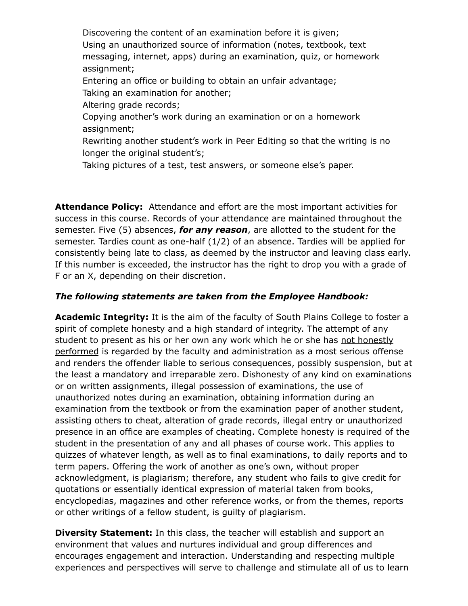Discovering the content of an examination before it is given; Using an unauthorized source of information (notes, textbook, text messaging, internet, apps) during an examination, quiz, or homework assignment; Entering an office or building to obtain an unfair advantage; Taking an examination for another; Altering grade records; Copying another's work during an examination or on a homework assignment; Rewriting another student's work in Peer Editing so that the writing is no longer the original student's;

Taking pictures of a test, test answers, or someone else's paper.

**Attendance Policy:** Attendance and effort are the most important activities for success in this course. Records of your attendance are maintained throughout the semester. Five (5) absences, *for any reason*, are allotted to the student for the semester. Tardies count as one-half (1/2) of an absence. Tardies will be applied for consistently being late to class, as deemed by the instructor and leaving class early. If this number is exceeded, the instructor has the right to drop you with a grade of F or an X, depending on their discretion.

#### *The following statements are taken from the Employee Handbook:*

**Academic Integrity:** It is the aim of the faculty of South Plains College to foster a spirit of complete honesty and a high standard of integrity. The attempt of any student to present as his or her own any work which he or she has not honestly performed is regarded by the faculty and administration as a most serious offense and renders the offender liable to serious consequences, possibly suspension, but at the least a mandatory and irreparable zero. Dishonesty of any kind on examinations or on written assignments, illegal possession of examinations, the use of unauthorized notes during an examination, obtaining information during an examination from the textbook or from the examination paper of another student, assisting others to cheat, alteration of grade records, illegal entry or unauthorized presence in an office are examples of cheating. Complete honesty is required of the student in the presentation of any and all phases of course work. This applies to quizzes of whatever length, as well as to final examinations, to daily reports and to term papers. Offering the work of another as one's own, without proper acknowledgment, is plagiarism; therefore, any student who fails to give credit for quotations or essentially identical expression of material taken from books, encyclopedias, magazines and other reference works, or from the themes, reports or other writings of a fellow student, is guilty of plagiarism.

**Diversity Statement:** In this class, the teacher will establish and support an environment that values and nurtures individual and group differences and encourages engagement and interaction. Understanding and respecting multiple experiences and perspectives will serve to challenge and stimulate all of us to learn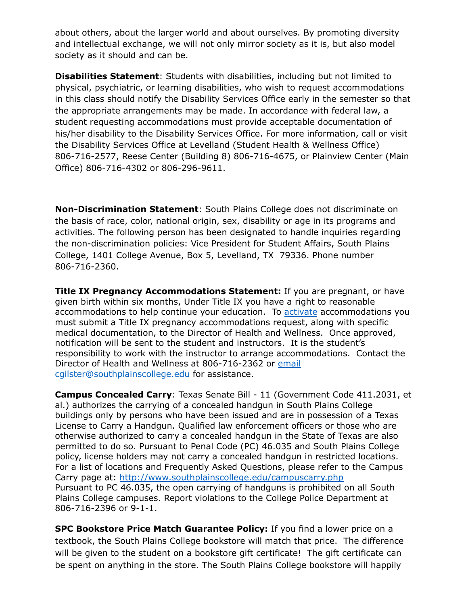about others, about the larger world and about ourselves. By promoting diversity and intellectual exchange, we will not only mirror society as it is, but also model society as it should and can be.

**Disabilities Statement**: Students with disabilities, including but not limited to physical, psychiatric, or learning disabilities, who wish to request accommodations in this class should notify the Disability Services Office early in the semester so that the appropriate arrangements may be made. In accordance with federal law, a student requesting accommodations must provide acceptable documentation of his/her disability to the Disability Services Office. For more information, call or visit the Disability Services Office at Levelland (Student Health & Wellness Office) 806-716-2577, Reese Center (Building 8) 806-716-4675, or Plainview Center (Main Office) 806-716-4302 or 806-296-9611.

**Non-Discrimination Statement**: South Plains College does not discriminate on the basis of race, color, national origin, sex, disability or age in its programs and activities. The following person has been designated to handle inquiries regarding the non-discrimination policies: Vice President for Student Affairs, South Plains College, 1401 College Avenue, Box 5, Levelland, TX 79336. Phone number 806-716-2360.

**Title IX Pregnancy Accommodations Statement:** If you are pregnant, or have given birth within six months, Under Title IX you have a right to reasonable accommodations to help continue your education. To [activate](http://www.southplainscollege.edu/employees/manualshandbooks/facultyhandbook/sec4.php) accommodations you must submit a Title IX pregnancy accommodations request, along with specific medical documentation, to the Director of Health and Wellness. Once approved, notification will be sent to the student and instructors. It is the student's responsibility to work with the instructor to arrange accommodations. Contact the Director of Health and Wellness at 806-716-2362 or [email](http://www.southplainscollege.edu/employees/manualshandbooks/facultyhandbook/sec4.php) cgilster@southplainscollege.edu for assistance.

**Campus Concealed Carry**: Texas Senate Bill - 11 (Government Code 411.2031, et al.) authorizes the carrying of a concealed handgun in South Plains College buildings only by persons who have been issued and are in possession of a Texas License to Carry a Handgun. Qualified law enforcement officers or those who are otherwise authorized to carry a concealed handgun in the State of Texas are also permitted to do so. Pursuant to Penal Code (PC) 46.035 and South Plains College policy, license holders may not carry a concealed handgun in restricted locations. For a list of locations and Frequently Asked Questions, please refer to the Campus Carry page at: <http://www.southplainscollege.edu/campuscarry.php> Pursuant to PC 46.035, the open carrying of handguns is prohibited on all South Plains College campuses. Report violations to the College Police Department at 806-716-2396 or 9-1-1.

**SPC Bookstore Price Match Guarantee Policy:** If you find a lower price on a textbook, the South Plains College bookstore will match that price. The difference will be given to the student on a bookstore gift certificate! The gift certificate can be spent on anything in the store. The South Plains College bookstore will happily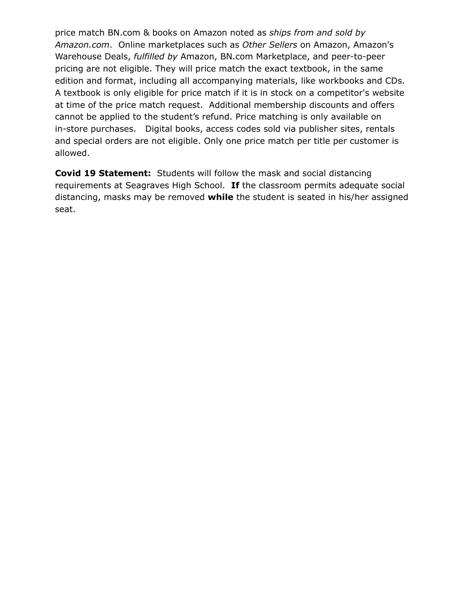price match BN.com & books on Amazon noted as *ships from and sold by Amazon.com*. Online marketplaces such as *Other Sellers* on Amazon, Amazon's Warehouse Deals, *fulfilled by* Amazon, BN.com Marketplace, and peer-to-peer pricing are not eligible. They will price match the exact textbook, in the same edition and format, including all accompanying materials, like workbooks and CDs. A textbook is only eligible for price match if it is in stock on a competitor's website at time of the price match request. Additional membership discounts and offers cannot be applied to the student's refund. Price matching is only available on in-store purchases. Digital books, access codes sold via publisher sites, rentals and special orders are not eligible. Only one price match per title per customer is allowed.

**Covid 19 Statement:** Students will follow the mask and social distancing requirements at Seagraves High School. **If** the classroom permits adequate social distancing, masks may be removed **while** the student is seated in his/her assigned seat.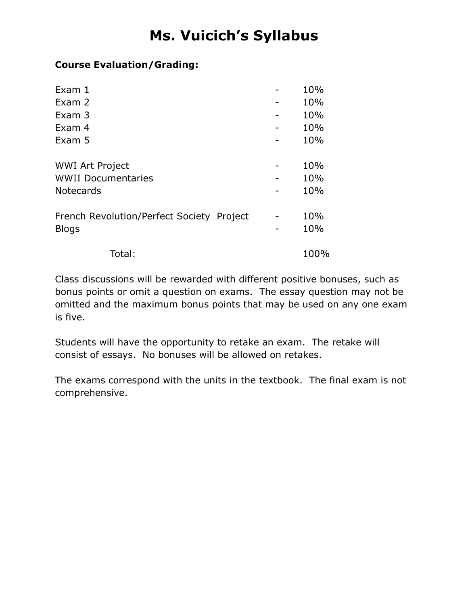# **Ms. Vuicich's Syllabus**

# **Course Evaluation/Grading:**

| Exam 1                                    |  | 10%  |  |
|-------------------------------------------|--|------|--|
| Exam 2                                    |  | 10%  |  |
| Exam 3                                    |  | 10%  |  |
| Exam 4                                    |  | 10%  |  |
| Exam 5                                    |  | 10%  |  |
|                                           |  |      |  |
| <b>WWI Art Project</b>                    |  |      |  |
| <b>WWII Documentaries</b>                 |  | 10%  |  |
| <b>Notecards</b>                          |  | 10%  |  |
|                                           |  |      |  |
| French Revolution/Perfect Society Project |  | 10%  |  |
| <b>Blogs</b>                              |  | 10%  |  |
|                                           |  |      |  |
| Total:                                    |  | 100% |  |

Class discussions will be rewarded with different positive bonuses, such as bonus points or omit a question on exams. The essay question may not be omitted and the maximum bonus points that may be used on any one exam is five.

Students will have the opportunity to retake an exam. The retake will consist of essays. No bonuses will be allowed on retakes.

The exams correspond with the units in the textbook. The final exam is not comprehensive.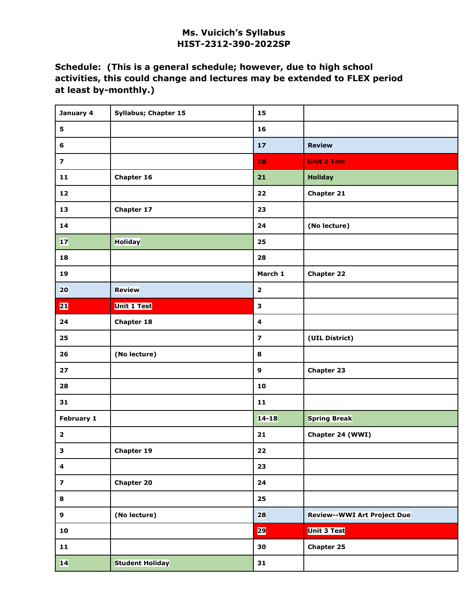## **Ms. Vuicich's Syllabus HIST-2312-390-2022SP**

# **Schedule: (This is a general schedule; however, due to high school activities, this could change and lectures may be extended to FLEX period at least by-monthly.)**

| January 4               | <b>Syllabus; Chapter 15</b> | 15                      |                                    |
|-------------------------|-----------------------------|-------------------------|------------------------------------|
| $\overline{\mathbf{5}}$ |                             | 16                      |                                    |
| 6                       |                             | $17$                    | <b>Review</b>                      |
| $\overline{\mathbf{z}}$ |                             | 18                      | <b>Unit 2 Test</b>                 |
| $\mathbf{11}$           | Chapter 16                  | 21                      | <b>Holiday</b>                     |
| 12                      |                             | 22                      | <b>Chapter 21</b>                  |
| 13                      | Chapter 17                  | 23                      |                                    |
| 14                      |                             | 24                      | (No lecture)                       |
| 17                      | <b>Holiday</b>              | 25                      |                                    |
| 18                      |                             | 28                      |                                    |
| 19                      |                             | March 1                 | <b>Chapter 22</b>                  |
| 20                      | <b>Review</b>               | $\mathbf{2}$            |                                    |
| 21                      | <b>Unit 1 Test</b>          | $\mathbf{3}$            |                                    |
| 24                      | <b>Chapter 18</b>           | $\overline{\mathbf{4}}$ |                                    |
| 25                      |                             | $\overline{\mathbf{z}}$ | (UIL District)                     |
| 26                      | (No lecture)                | 8                       |                                    |
| 27                      |                             | 9                       | <b>Chapter 23</b>                  |
| 28                      |                             | 10                      |                                    |
| 31                      |                             | $\mathbf{11}$           |                                    |
| February 1              |                             | $14 - 18$               | <b>Spring Break</b>                |
| $\mathbf{2}$            |                             | 21                      | Chapter 24 (WWI)                   |
| 3                       | <b>Chapter 19</b>           | 22                      |                                    |
| $\overline{\mathbf{4}}$ |                             | 23                      |                                    |
| $\overline{\mathbf{z}}$ | <b>Chapter 20</b>           | 24                      |                                    |
| 8                       |                             | 25                      |                                    |
| $\boldsymbol{9}$        | (No lecture)                | 28                      | <b>Review--WWI Art Project Due</b> |
| 10                      |                             | 29                      | <b>Unit 3 Test</b>                 |
| $\mathbf{11}$           |                             | 30                      | <b>Chapter 25</b>                  |
| 14                      | <b>Student Holiday</b>      | 31                      |                                    |
|                         |                             |                         |                                    |